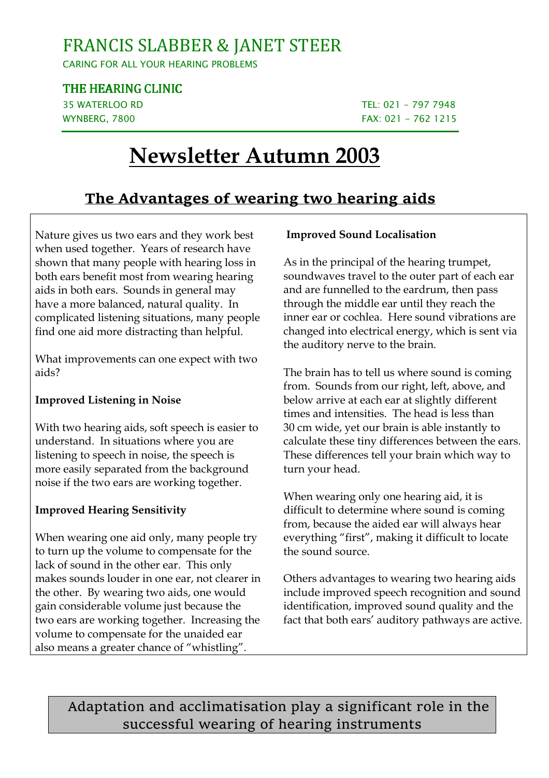## FRANCIS SLABBER & JANET STEER

CARING FOR ALL YOUR HEARING PROBLEMS

THE HEARING CLINIC

35 WATERLOO RD TEL: 021 - 797 7948 WYNBERG, 7800 **FAX: 021 - 762 1215** 

# **Newsletter Autumn 2003**

### **The Advantages of wearing two hearing aids**

Nature gives us two ears and they work best when used together. Years of research have shown that many people with hearing loss in both ears benefit most from wearing hearing aids in both ears. Sounds in general may have a more balanced, natural quality. In complicated listening situations, many people find one aid more distracting than helpful.

What improvements can one expect with two aids?

#### **Improved Listening in Noise**

With two hearing aids, soft speech is easier to understand. In situations where you are listening to speech in noise, the speech is more easily separated from the background noise if the two ears are working together.

#### **Improved Hearing Sensitivity**

When wearing one aid only, many people try to turn up the volume to compensate for the lack of sound in the other ear. This only makes sounds louder in one ear, not clearer in the other. By wearing two aids, one would gain considerable volume just because the two ears are working together. Increasing the volume to compensate for the unaided ear also means a greater chance of "whistling".

#### **Improved Sound Localisation**

As in the principal of the hearing trumpet, soundwaves travel to the outer part of each ear and are funnelled to the eardrum, then pass through the middle ear until they reach the inner ear or cochlea. Here sound vibrations are changed into electrical energy, which is sent via the auditory nerve to the brain.

The brain has to tell us where sound is coming from. Sounds from our right, left, above, and below arrive at each ear at slightly different times and intensities. The head is less than 30 cm wide, yet our brain is able instantly to calculate these tiny differences between the ears. These differences tell your brain which way to turn your head.

When wearing only one hearing aid, it is difficult to determine where sound is coming from, because the aided ear will always hear everything "first", making it difficult to locate the sound source.

Others advantages to wearing two hearing aids include improved speech recognition and sound identification, improved sound quality and the fact that both ears' auditory pathways are active.

Adaptation and acclimatisation play a significant role in the successful wearing of hearing instruments